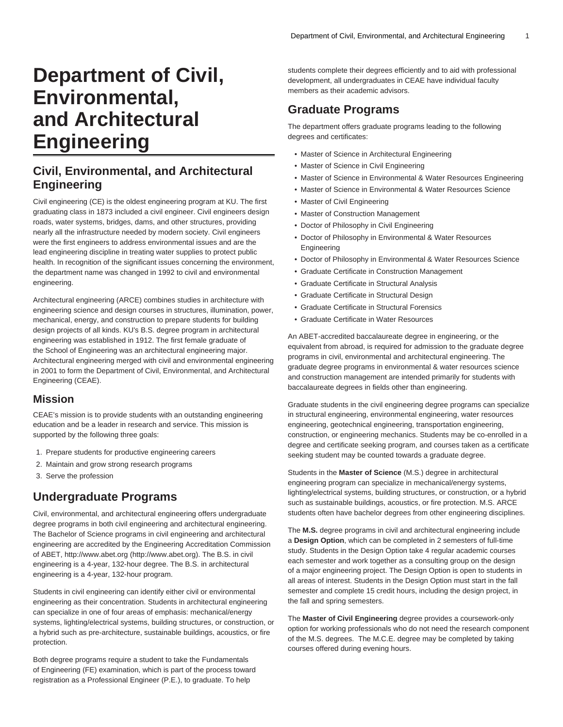# **Department of Civil, Environmental, and Architectural Engineering**

# **Civil, Environmental, and Architectural Engineering**

Civil engineering (CE) is the oldest engineering program at KU. The first graduating class in 1873 included a civil engineer. Civil engineers design roads, water systems, bridges, dams, and other structures, providing nearly all the infrastructure needed by modern society. Civil engineers were the first engineers to address environmental issues and are the lead engineering discipline in treating water supplies to protect public health. In recognition of the significant issues concerning the environment, the department name was changed in 1992 to civil and environmental engineering.

Architectural engineering (ARCE) combines studies in architecture with engineering science and design courses in structures, illumination, power, mechanical, energy, and construction to prepare students for building design projects of all kinds. KU's B.S. degree program in architectural engineering was established in 1912. The first female graduate of the School of Engineering was an architectural engineering major. Architectural engineering merged with civil and environmental engineering in 2001 to form the Department of Civil, Environmental, and Architectural Engineering (CEAE).

# **Mission**

CEAE's mission is to provide students with an outstanding engineering education and be a leader in research and service. This mission is supported by the following three goals:

- 1. Prepare students for productive engineering careers
- 2. Maintain and grow strong research programs
- 3. Serve the profession

# **Undergraduate Programs**

Civil, environmental, and architectural engineering offers undergraduate degree programs in both civil engineering and architectural engineering. The Bachelor of Science programs in civil engineering and architectural engineering are accredited by the Engineering Accreditation Commission of ABET, http:/[/www.abet.org](http://www.abet.org) [\(http://www.abet.org\)](http://www.abet.org). The B.S. in civil engineering is a 4-year, 132-hour degree. The B.S. in architectural engineering is a 4-year, 132-hour program.

Students in civil engineering can identify either civil or environmental engineering as their concentration. Students in architectural engineering can specialize in one of four areas of emphasis: mechanical/energy systems, lighting/electrical systems, building structures, or construction, or a hybrid such as pre-architecture, sustainable buildings, acoustics, or fire protection.

Both degree programs require a student to take the Fundamentals of Engineering (FE) examination, which is part of the process toward registration as a Professional Engineer (P.E.), to graduate. To help

students complete their degrees efficiently and to aid with professional development, all undergraduates in CEAE have individual faculty members as their academic advisors.

# **Graduate Programs**

The department offers graduate programs leading to the following degrees and certificates:

- Master of Science in Architectural Engineering
- Master of Science in Civil Engineering
- Master of Science in Environmental & Water Resources Engineering
- Master of Science in Environmental & Water Resources Science
- Master of Civil Engineering
- Master of Construction Management
- Doctor of Philosophy in Civil Engineering
- Doctor of Philosophy in Environmental & Water Resources Engineering
- Doctor of Philosophy in Environmental & Water Resources Science
- Graduate Certificate in Construction Management
- Graduate Certificate in Structural Analysis
- Graduate Certificate in Structural Design
- Graduate Certificate in Structural Forensics
- Graduate Certificate in Water Resources

An ABET-accredited baccalaureate degree in engineering, or the equivalent from abroad, is required for admission to the graduate degree programs in civil, environmental and architectural engineering. The graduate degree programs in environmental & water resources science and construction management are intended primarily for students with baccalaureate degrees in fields other than engineering.

Graduate students in the civil engineering degree programs can specialize in structural engineering, environmental engineering, water resources engineering, geotechnical engineering, transportation engineering, construction, or engineering mechanics. Students may be co-enrolled in a degree and certificate seeking program, and courses taken as a certificate seeking student may be counted towards a graduate degree.

Students in the **Master of Science** (M.S.) degree in architectural engineering program can specialize in mechanical/energy systems, lighting/electrical systems, building structures, or construction, or a hybrid such as sustainable buildings, acoustics, or fire protection. M.S. ARCE students often have bachelor degrees from other engineering disciplines.

The **M.S.** degree programs in civil and architectural engineering include a **Design Option**, which can be completed in 2 semesters of full-time study. Students in the Design Option take 4 regular academic courses each semester and work together as a consulting group on the design of a major engineering project. The Design Option is open to students in all areas of interest. Students in the Design Option must start in the fall semester and complete 15 credit hours, including the design project, in the fall and spring semesters.

The **Master of Civil Engineering** degree provides a coursework-only option for working professionals who do not need the research component of the M.S. degrees. The M.C.E. degree may be completed by taking courses offered during evening hours.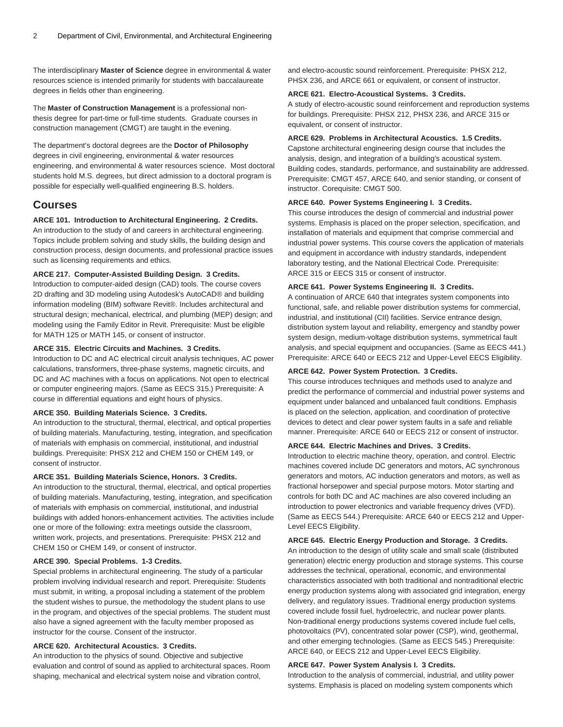The interdisciplinary **Master of Science** degree in environmental & water resources science is intended primarily for students with baccalaureate degrees in fields other than engineering.

The **Master of Construction Management** is a professional nonthesis degree for part-time or full-time students. Graduate courses in construction management (CMGT) are taught in the evening.

The department's doctoral degrees are the **Doctor of Philosophy** degrees in civil engineering, environmental & water resources engineering, and environmental & water resources science. Most doctoral students hold M.S. degrees, but direct admission to a doctoral program is possible for especially well-qualified engineering B.S. holders.

# **Courses**

#### **ARCE 101. Introduction to Architectural Engineering. 2 Credits.**

An introduction to the study of and careers in architectural engineering. Topics include problem solving and study skills, the building design and construction process, design documents, and professional practice issues such as licensing requirements and ethics.

# **ARCE 217. Computer-Assisted Building Design. 3 Credits.**

Introduction to computer-aided design (CAD) tools. The course covers 2D drafting and 3D modeling using Autodesk's AutoCAD® and building information modeling (BIM) software Revit®. Includes architectural and structural design; mechanical, electrical, and plumbing (MEP) design; and modeling using the Family Editor in Revit. Prerequisite: Must be eligible for [MATH 125](/search/?P=MATH%20125) or [MATH 145,](/search/?P=MATH%20145) or consent of instructor.

#### **ARCE 315. Electric Circuits and Machines. 3 Credits.**

Introduction to DC and AC electrical circuit analysis techniques, AC power calculations, transformers, three-phase systems, magnetic circuits, and DC and AC machines with a focus on applications. Not open to electrical or computer engineering majors. (Same as [EECS 315](/search/?P=EECS%20315).) Prerequisite: A course in differential equations and eight hours of physics.

# **ARCE 350. Building Materials Science. 3 Credits.**

An introduction to the structural, thermal, electrical, and optical properties of building materials. Manufacturing, testing, integration, and specification of materials with emphasis on commercial, institutional, and industrial buildings. Prerequisite: [PHSX 212](/search/?P=PHSX%20212) and [CHEM 150](/search/?P=CHEM%20150) or [CHEM 149](/search/?P=CHEM%20149), or consent of instructor.

#### **ARCE 351. Building Materials Science, Honors. 3 Credits.**

An introduction to the structural, thermal, electrical, and optical properties of building materials. Manufacturing, testing, integration, and specification of materials with emphasis on commercial, institutional, and industrial buildings with added honors-enhancement activities. The activities include one or more of the following: extra meetings outside the classroom, written work, projects, and presentations. Prerequisite: [PHSX 212](/search/?P=PHSX%20212) and [CHEM 150](/search/?P=CHEM%20150) or [CHEM 149,](/search/?P=CHEM%20149) or consent of instructor.

#### **ARCE 390. Special Problems. 1-3 Credits.**

Special problems in architectural engineering. The study of a particular problem involving individual research and report. Prerequisite: Students must submit, in writing, a proposal including a statement of the problem the student wishes to pursue, the methodology the student plans to use in the program, and objectives of the special problems. The student must also have a signed agreement with the faculty member proposed as instructor for the course. Consent of the instructor.

# **ARCE 620. Architectural Acoustics. 3 Credits.**

An introduction to the physics of sound. Objective and subjective evaluation and control of sound as applied to architectural spaces. Room shaping, mechanical and electrical system noise and vibration control,

and electro-acoustic sound reinforcement. Prerequisite: [PHSX 212,](/search/?P=PHSX%20212) [PHSX 236,](/search/?P=PHSX%20236) and [ARCE 661](/search/?P=ARCE%20661) or equivalent, or consent of instructor.

#### **ARCE 621. Electro-Acoustical Systems. 3 Credits.**

A study of electro-acoustic sound reinforcement and reproduction systems for buildings. Prerequisite: [PHSX 212](/search/?P=PHSX%20212), [PHSX 236](/search/?P=PHSX%20236), and [ARCE 315](/search/?P=ARCE%20315) or equivalent, or consent of instructor.

#### **ARCE 629. Problems in Architectural Acoustics. 1.5 Credits.**

Capstone architectural engineering design course that includes the analysis, design, and integration of a building's acoustical system. Building codes, standards, performance, and sustainability are addressed. Prerequisite: [CMGT 457](/search/?P=CMGT%20457), [ARCE 640,](/search/?P=ARCE%20640) and senior standing, or consent of instructor. Corequisite: [CMGT 500.](/search/?P=CMGT%20500)

#### **ARCE 640. Power Systems Engineering I. 3 Credits.**

This course introduces the design of commercial and industrial power systems. Emphasis is placed on the proper selection, specification, and installation of materials and equipment that comprise commercial and industrial power systems. This course covers the application of materials and equipment in accordance with industry standards, independent laboratory testing, and the National Electrical Code. Prerequisite: [ARCE 315](/search/?P=ARCE%20315) or [EECS 315](/search/?P=EECS%20315) or consent of instructor.

#### **ARCE 641. Power Systems Engineering II. 3 Credits.**

A continuation of [ARCE 640](/search/?P=ARCE%20640) that integrates system components into functional, safe, and reliable power distribution systems for commercial, industrial, and institutional (CII) facilities. Service entrance design, distribution system layout and reliability, emergency and standby power system design, medium-voltage distribution systems, symmetrical fault analysis, and special equipment and occupancies. (Same as [EECS 441](/search/?P=EECS%20441).) Prerequisite: [ARCE 640](/search/?P=ARCE%20640) or [EECS 212](/search/?P=EECS%20212) and Upper-Level EECS Eligibility.

#### **ARCE 642. Power System Protection. 3 Credits.**

This course introduces techniques and methods used to analyze and predict the performance of commercial and industrial power systems and equipment under balanced and unbalanced fault conditions. Emphasis is placed on the selection, application, and coordination of protective devices to detect and clear power system faults in a safe and reliable manner. Prerequisite: [ARCE 640](/search/?P=ARCE%20640) or [EECS 212](/search/?P=EECS%20212) or consent of instructor.

#### **ARCE 644. Electric Machines and Drives. 3 Credits.**

Introduction to electric machine theory, operation, and control. Electric machines covered include DC generators and motors, AC synchronous generators and motors, AC induction generators and motors, as well as fractional horsepower and special purpose motors. Motor starting and controls for both DC and AC machines are also covered including an introduction to power electronics and variable frequency drives (VFD). (Same as [EECS 544](/search/?P=EECS%20544).) Prerequisite: [ARCE 640](/search/?P=ARCE%20640) or [EECS 212](/search/?P=EECS%20212) and Upper-Level EECS Eligibility.

# **ARCE 645. Electric Energy Production and Storage. 3 Credits.**

An introduction to the design of utility scale and small scale (distributed generation) electric energy production and storage systems. This course addresses the technical, operational, economic, and environmental characteristics associated with both traditional and nontraditional electric energy production systems along with associated grid integration, energy delivery, and regulatory issues. Traditional energy production systems covered include fossil fuel, hydroelectric, and nuclear power plants. Non-traditional energy productions systems covered include fuel cells, photovoltaics (PV), concentrated solar power (CSP), wind, geothermal, and other emerging technologies. (Same as [EECS 545.](/search/?P=EECS%20545)) Prerequisite: [ARCE 640,](/search/?P=ARCE%20640) or [EECS 212](/search/?P=EECS%20212) and Upper-Level EECS Eligibility.

#### **ARCE 647. Power System Analysis I. 3 Credits.**

Introduction to the analysis of commercial, industrial, and utility power systems. Emphasis is placed on modeling system components which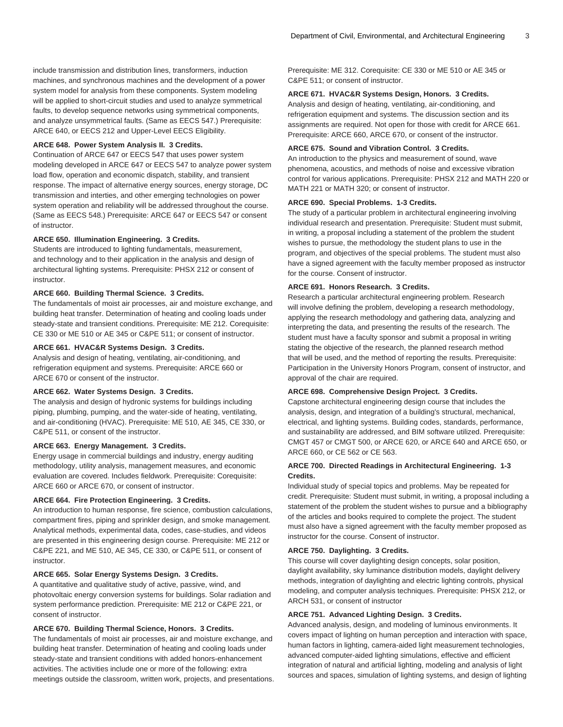include transmission and distribution lines, transformers, induction machines, and synchronous machines and the development of a power system model for analysis from these components. System modeling will be applied to short-circuit studies and used to analyze symmetrical faults, to develop sequence networks using symmetrical components, and analyze unsymmetrical faults. (Same as [EECS 547.](/search/?P=EECS%20547)) Prerequisite: [ARCE 640,](/search/?P=ARCE%20640) or [EECS 212](/search/?P=EECS%20212) and Upper-Level EECS Eligibility.

#### **ARCE 648. Power System Analysis II. 3 Credits.**

Continuation of [ARCE 647](/search/?P=ARCE%20647) or [EECS 547](/search/?P=EECS%20547) that uses power system modeling developed in [ARCE 647](/search/?P=ARCE%20647) or [EECS 547](/search/?P=EECS%20547) to analyze power system load flow, operation and economic dispatch, stability, and transient response. The impact of alternative energy sources, energy storage, DC transmission and interties, and other emerging technologies on power system operation and reliability will be addressed throughout the course. (Same as [EECS 548.](/search/?P=EECS%20548)) Prerequisite: [ARCE 647](/search/?P=ARCE%20647) or [EECS 547](/search/?P=EECS%20547) or consent of instructor.

#### **ARCE 650. Illumination Engineering. 3 Credits.**

Students are introduced to lighting fundamentals, measurement, and technology and to their application in the analysis and design of architectural lighting systems. Prerequisite: [PHSX 212](/search/?P=PHSX%20212) or consent of instructor.

# **ARCE 660. Building Thermal Science. 3 Credits.**

The fundamentals of moist air processes, air and moisture exchange, and building heat transfer. Determination of heating and cooling loads under steady-state and transient conditions. Prerequisite: [ME 212](/search/?P=ME%20212). Corequisite: [CE 330](/search/?P=CE%20330) or [ME 510](/search/?P=ME%20510) or [AE 345](/search/?P=AE%20345) or [C&PE 511;](/search/?P=C%26PE%20511) or consent of instructor.

# **ARCE 661. HVAC&R Systems Design. 3 Credits.**

Analysis and design of heating, ventilating, air-conditioning, and refrigeration equipment and systems. Prerequisite: [ARCE 660](/search/?P=ARCE%20660) or [ARCE 670](/search/?P=ARCE%20670) or consent of the instructor.

#### **ARCE 662. Water Systems Design. 3 Credits.**

The analysis and design of hydronic systems for buildings including piping, plumbing, pumping, and the water-side of heating, ventilating, and air-conditioning (HVAC). Prerequisite: [ME 510,](/search/?P=ME%20510) [AE 345](/search/?P=AE%20345), [CE 330,](/search/?P=CE%20330) or [C&PE 511](/search/?P=C%26PE%20511), or consent of the instructor.

#### **ARCE 663. Energy Management. 3 Credits.**

Energy usage in commercial buildings and industry, energy auditing methodology, utility analysis, management measures, and economic evaluation are covered. Includes fieldwork. Prerequisite: Corequisite: [ARCE 660](/search/?P=ARCE%20660) or [ARCE 670](/search/?P=ARCE%20670), or consent of instructor.

# **ARCE 664. Fire Protection Engineering. 3 Credits.**

An introduction to human response, fire science, combustion calculations, compartment fires, piping and sprinkler design, and smoke management. Analytical methods, experimental data, codes, case-studies, and videos are presented in this engineering design course. Prerequisite: [ME 212](/search/?P=ME%20212) or [C&PE 221](/search/?P=C%26PE%20221), and [ME 510,](/search/?P=ME%20510) [AE 345,](/search/?P=AE%20345) [CE 330,](/search/?P=CE%20330) or [C&PE 511,](/search/?P=C%26PE%20511) or consent of instructor.

# **ARCE 665. Solar Energy Systems Design. 3 Credits.**

A quantitative and qualitative study of active, passive, wind, and photovoltaic energy conversion systems for buildings. Solar radiation and system performance prediction. Prerequisite: [ME 212](/search/?P=ME%20212) or [C&PE 221](/search/?P=C%26PE%20221), or consent of instructor.

### **ARCE 670. Building Thermal Science, Honors. 3 Credits.**

The fundamentals of moist air processes, air and moisture exchange, and building heat transfer. Determination of heating and cooling loads under steady-state and transient conditions with added honors-enhancement activities. The activities include one or more of the following: extra meetings outside the classroom, written work, projects, and presentations. Prerequisite: ME 312. Corequisite: [CE 330](/search/?P=CE%20330) or [ME 510](/search/?P=ME%20510) or [AE 345](/search/?P=AE%20345) or [C&PE 511;](/search/?P=C%26PE%20511) or consent of instructor.

#### **ARCE 671. HVAC&R Systems Design, Honors. 3 Credits.**

Analysis and design of heating, ventilating, air-conditioning, and refrigeration equipment and systems. The discussion section and its assignments are required. Not open for those with credit for [ARCE 661.](/search/?P=ARCE%20661) Prerequisite: [ARCE 660](/search/?P=ARCE%20660), [ARCE 670](/search/?P=ARCE%20670), or consent of the instructor.

#### **ARCE 675. Sound and Vibration Control. 3 Credits.**

An introduction to the physics and measurement of sound, wave phenomena, acoustics, and methods of noise and excessive vibration control for various applications. Prerequisite: [PHSX 212](/search/?P=PHSX%20212) and [MATH 220](/search/?P=MATH%20220) or [MATH 221](/search/?P=MATH%20221) or [MATH 320](/search/?P=MATH%20320); or consent of instructor.

#### **ARCE 690. Special Problems. 1-3 Credits.**

The study of a particular problem in architectural engineering involving individual research and presentation. Prerequisite: Student must submit, in writing, a proposal including a statement of the problem the student wishes to pursue, the methodology the student plans to use in the program, and objectives of the special problems. The student must also have a signed agreement with the faculty member proposed as instructor for the course. Consent of instructor.

#### **ARCE 691. Honors Research. 3 Credits.**

Research a particular architectural engineering problem. Research will involve defining the problem, developing a research methodology, applying the research methodology and gathering data, analyzing and interpreting the data, and presenting the results of the research. The student must have a faculty sponsor and submit a proposal in writing stating the objective of the research, the planned research method that will be used, and the method of reporting the results. Prerequisite: Participation in the University Honors Program, consent of instructor, and approval of the chair are required.

#### **ARCE 698. Comprehensive Design Project. 3 Credits.**

Capstone architectural engineering design course that includes the analysis, design, and integration of a building's structural, mechanical, electrical, and lighting systems. Building codes, standards, performance, and sustainability are addressed, and BIM software utilized. Prerequisite: [CMGT 457](/search/?P=CMGT%20457) or [CMGT 500](/search/?P=CMGT%20500), or [ARCE 620,](/search/?P=ARCE%20620) or [ARCE 640](/search/?P=ARCE%20640) and [ARCE 650,](/search/?P=ARCE%20650) or [ARCE 660,](/search/?P=ARCE%20660) or [CE 562](/search/?P=CE%20562) or [CE 563.](/search/?P=CE%20563)

#### **ARCE 700. Directed Readings in Architectural Engineering. 1-3 Credits.**

Individual study of special topics and problems. May be repeated for credit. Prerequisite: Student must submit, in writing, a proposal including a statement of the problem the student wishes to pursue and a bibliography of the articles and books required to complete the project. The student must also have a signed agreement with the faculty member proposed as instructor for the course. Consent of instructor.

## **ARCE 750. Daylighting. 3 Credits.**

This course will cover daylighting design concepts, solar position, daylight availability, sky luminance distribution models, daylight delivery methods, integration of daylighting and electric lighting controls, physical modeling, and computer analysis techniques. Prerequisite: [PHSX 212,](/search/?P=PHSX%20212) or [ARCH 531](/search/?P=ARCH%20531), or consent of instructor

#### **ARCE 751. Advanced Lighting Design. 3 Credits.**

Advanced analysis, design, and modeling of luminous environments. It covers impact of lighting on human perception and interaction with space, human factors in lighting, camera-aided light measurement technologies, advanced computer-aided lighting simulations, effective and efficient integration of natural and artificial lighting, modeling and analysis of light sources and spaces, simulation of lighting systems, and design of lighting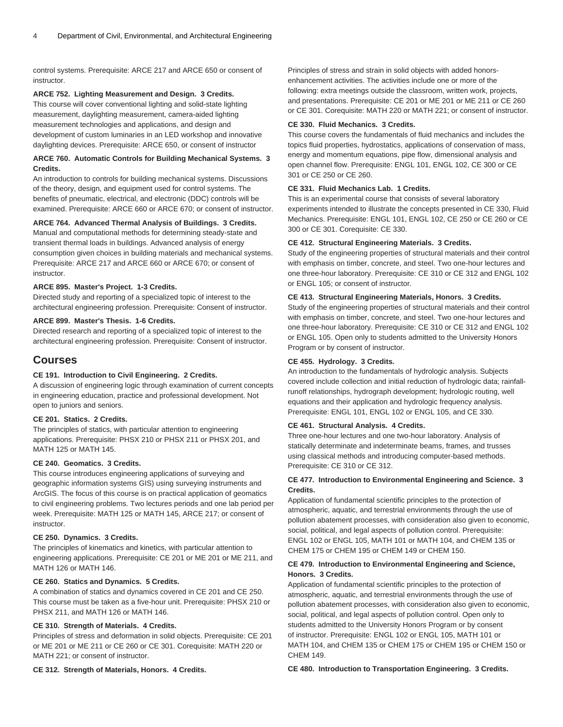control systems. Prerequisite: [ARCE 217](/search/?P=ARCE%20217) and [ARCE 650](/search/?P=ARCE%20650) or consent of instructor.

#### **ARCE 752. Lighting Measurement and Design. 3 Credits.**

This course will cover conventional lighting and solid-state lighting measurement, daylighting measurement, camera-aided lighting measurement technologies and applications, and design and development of custom luminaries in an LED workshop and innovative daylighting devices. Prerequisite: [ARCE 650,](/search/?P=ARCE%20650) or consent of instructor

# **ARCE 760. Automatic Controls for Building Mechanical Systems. 3 Credits.**

An introduction to controls for building mechanical systems. Discussions of the theory, design, and equipment used for control systems. The benefits of pneumatic, electrical, and electronic (DDC) controls will be examined. Prerequisite: [ARCE 660](/search/?P=ARCE%20660) or [ARCE 670](/search/?P=ARCE%20670); or consent of instructor.

#### **ARCE 764. Advanced Thermal Analysis of Buildings. 3 Credits.**

Manual and computational methods for determining steady-state and transient thermal loads in buildings. Advanced analysis of energy consumption given choices in building materials and mechanical systems. Prerequisite: [ARCE 217](/search/?P=ARCE%20217) and [ARCE 660](/search/?P=ARCE%20660) or [ARCE 670;](/search/?P=ARCE%20670) or consent of instructor.

#### **ARCE 895. Master's Project. 1-3 Credits.**

Directed study and reporting of a specialized topic of interest to the architectural engineering profession. Prerequisite: Consent of instructor.

#### **ARCE 899. Master's Thesis. 1-6 Credits.**

Directed research and reporting of a specialized topic of interest to the architectural engineering profession. Prerequisite: Consent of instructor.

# **Courses**

## **CE 191. Introduction to Civil Engineering. 2 Credits.**

A discussion of engineering logic through examination of current concepts in engineering education, practice and professional development. Not open to juniors and seniors.

# **CE 201. Statics. 2 Credits.**

The principles of statics, with particular attention to engineering applications. Prerequisite: [PHSX 210](/search/?P=PHSX%20210) or [PHSX 211](/search/?P=PHSX%20211) or [PHSX 201,](/search/?P=PHSX%20201) and [MATH 125](/search/?P=MATH%20125) or [MATH 145](/search/?P=MATH%20145).

# **CE 240. Geomatics. 3 Credits.**

This course introduces engineering applications of surveying and geographic information systems GIS) using surveying instruments and ArcGIS. The focus of this course is on practical application of geomatics to civil engineering problems. Two lectures periods and one lab period per week. Prerequisite: [MATH 125](/search/?P=MATH%20125) or [MATH 145](/search/?P=MATH%20145), [ARCE 217;](/search/?P=ARCE%20217) or consent of instructor.

## **CE 250. Dynamics. 3 Credits.**

The principles of kinematics and kinetics, with particular attention to engineering applications. Prerequisite: [CE 201](/search/?P=CE%20201) or [ME 201](/search/?P=ME%20201) or [ME 211,](/search/?P=ME%20211) and [MATH 126](/search/?P=MATH%20126) or [MATH 146](/search/?P=MATH%20146).

## **CE 260. Statics and Dynamics. 5 Credits.**

A combination of statics and dynamics covered in [CE 201](/search/?P=CE%20201) and [CE 250.](/search/?P=CE%20250) This course must be taken as a five-hour unit. Prerequisite: [PHSX 210](/search/?P=PHSX%20210) or [PHSX 211](/search/?P=PHSX%20211), and [MATH 126](/search/?P=MATH%20126) or [MATH 146](/search/?P=MATH%20146).

# **CE 310. Strength of Materials. 4 Credits.**

Principles of stress and deformation in solid objects. Prerequisite: [CE 201](/search/?P=CE%20201) or [ME 201](/search/?P=ME%20201) or [ME 211](/search/?P=ME%20211) or [CE 260](/search/?P=CE%20260) or CE 301. Corequisite: [MATH 220](/search/?P=MATH%20220) or [MATH 221](/search/?P=MATH%20221); or consent of instructor.

**CE 312. Strength of Materials, Honors. 4 Credits.**

Principles of stress and strain in solid objects with added honorsenhancement activities. The activities include one or more of the following: extra meetings outside the classroom, written work, projects, and presentations. Prerequisite: [CE 201](/search/?P=CE%20201) or [ME 201](/search/?P=ME%20201) or [ME 211](/search/?P=ME%20211) or [CE 260](/search/?P=CE%20260) or CE 301. Corequisite: [MATH 220](/search/?P=MATH%20220) or [MATH 221;](/search/?P=MATH%20221) or consent of instructor.

#### **CE 330. Fluid Mechanics. 3 Credits.**

This course covers the fundamentals of fluid mechanics and includes the topics fluid properties, hydrostatics, applications of conservation of mass, energy and momentum equations, pipe flow, dimensional analysis and open channel flow. Prerequisite: [ENGL 101,](/search/?P=ENGL%20101) [ENGL 102](/search/?P=ENGL%20102), CE 300 or CE 301 or [CE 250](/search/?P=CE%20250) or [CE 260](/search/?P=CE%20260).

#### **CE 331. Fluid Mechanics Lab. 1 Credits.**

This is an experimental course that consists of several laboratory experiments intended to illustrate the concepts presented in [CE 330](/search/?P=CE%20330), Fluid Mechanics. Prerequisite: [ENGL 101](/search/?P=ENGL%20101), [ENGL 102](/search/?P=ENGL%20102), [CE 250](/search/?P=CE%20250) or [CE 260](/search/?P=CE%20260) or CE 300 or CE 301. Corequisite: [CE 330.](/search/?P=CE%20330)

# **CE 412. Structural Engineering Materials. 3 Credits.**

Study of the engineering properties of structural materials and their control with emphasis on timber, concrete, and steel. Two one-hour lectures and one three-hour laboratory. Prerequisite: [CE 310](/search/?P=CE%20310) or [CE 312](/search/?P=CE%20312) and [ENGL 102](/search/?P=ENGL%20102) or [ENGL 105;](/search/?P=ENGL%20105) or consent of instructor.

#### **CE 413. Structural Engineering Materials, Honors. 3 Credits.**

Study of the engineering properties of structural materials and their control with emphasis on timber, concrete, and steel. Two one-hour lectures and one three-hour laboratory. Prerequisite: [CE 310](/search/?P=CE%20310) or [CE 312](/search/?P=CE%20312) and [ENGL 102](/search/?P=ENGL%20102) or [ENGL 105.](/search/?P=ENGL%20105) Open only to students admitted to the University Honors Program or by consent of instructor.

#### **CE 455. Hydrology. 3 Credits.**

An introduction to the fundamentals of hydrologic analysis. Subjects covered include collection and initial reduction of hydrologic data; rainfallrunoff relationships, hydrograph development; hydrologic routing, well equations and their application and hydrologic frequency analysis. Prerequisite: [ENGL 101,](/search/?P=ENGL%20101) [ENGL 102](/search/?P=ENGL%20102) or [ENGL 105](/search/?P=ENGL%20105), and [CE 330](/search/?P=CE%20330).

#### **CE 461. Structural Analysis. 4 Credits.**

Three one-hour lectures and one two-hour laboratory. Analysis of statically determinate and indeterminate beams, frames, and trusses using classical methods and introducing computer-based methods. Prerequisite: [CE 310](/search/?P=CE%20310) or [CE 312](/search/?P=CE%20312).

# **CE 477. Introduction to Environmental Engineering and Science. 3 Credits.**

Application of fundamental scientific principles to the protection of atmospheric, aquatic, and terrestrial environments through the use of pollution abatement processes, with consideration also given to economic, social, political, and legal aspects of pollution control. Prerequisite: [ENGL 102](/search/?P=ENGL%20102) or [ENGL 105](/search/?P=ENGL%20105), [MATH 101](/search/?P=MATH%20101) or [MATH 104,](/search/?P=MATH%20104) and [CHEM 135](/search/?P=CHEM%20135) or [CHEM 175](/search/?P=CHEM%20175) or [CHEM 195](/search/?P=CHEM%20195) or [CHEM 149](/search/?P=CHEM%20149) or [CHEM 150](/search/?P=CHEM%20150).

# **CE 479. Introduction to Environmental Engineering and Science, Honors. 3 Credits.**

Application of fundamental scientific principles to the protection of atmospheric, aquatic, and terrestrial environments through the use of pollution abatement processes, with consideration also given to economic, social, political, and legal aspects of pollution control. Open only to students admitted to the University Honors Program or by consent of instructor. Prerequisite: [ENGL 102](/search/?P=ENGL%20102) or [ENGL 105,](/search/?P=ENGL%20105) [MATH 101](/search/?P=MATH%20101) or [MATH 104](/search/?P=MATH%20104), and [CHEM 135](/search/?P=CHEM%20135) or [CHEM 175](/search/?P=CHEM%20175) or [CHEM 195](/search/?P=CHEM%20195) or [CHEM 150](/search/?P=CHEM%20150) or [CHEM 149](/search/?P=CHEM%20149).

#### **CE 480. Introduction to Transportation Engineering. 3 Credits.**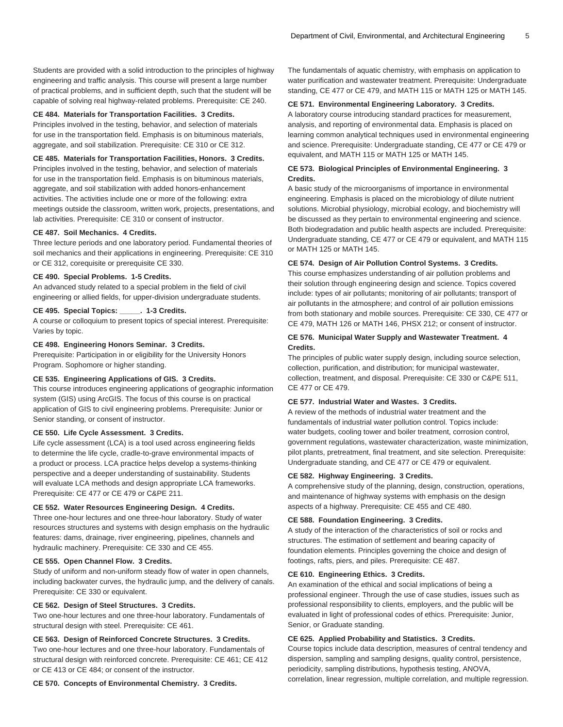Students are provided with a solid introduction to the principles of highway engineering and traffic analysis. This course will present a large number of practical problems, and in sufficient depth, such that the student will be capable of solving real highway-related problems. Prerequisite: [CE 240.](/search/?P=CE%20240)

#### **CE 484. Materials for Transportation Facilities. 3 Credits.**

Principles involved in the testing, behavior, and selection of materials for use in the transportation field. Emphasis is on bituminous materials, aggregate, and soil stabilization. Prerequisite: [CE 310](/search/?P=CE%20310) or [CE 312.](/search/?P=CE%20312)

# **CE 485. Materials for Transportation Facilities, Honors. 3 Credits.**

Principles involved in the testing, behavior, and selection of materials for use in the transportation field. Emphasis is on bituminous materials, aggregate, and soil stabilization with added honors-enhancement activities. The activities include one or more of the following: extra meetings outside the classroom, written work, projects, presentations, and lab activities. Prerequisite: [CE 310](/search/?P=CE%20310) or consent of instructor.

# **CE 487. Soil Mechanics. 4 Credits.**

Three lecture periods and one laboratory period. Fundamental theories of soil mechanics and their applications in engineering. Prerequisite: [CE 310](/search/?P=CE%20310) or [CE 312](/search/?P=CE%20312), corequisite or prerequisite [CE 330](/search/?P=CE%20330).

# **CE 490. Special Problems. 1-5 Credits.**

An advanced study related to a special problem in the field of civil engineering or allied fields, for upper-division undergraduate students.

# **CE 495. Special Topics: \_\_\_\_\_. 1-3 Credits.**

A course or colloquium to present topics of special interest. Prerequisite: Varies by topic.

### **CE 498. Engineering Honors Seminar. 3 Credits.**

Prerequisite: Participation in or eligibility for the University Honors Program. Sophomore or higher standing.

### **CE 535. Engineering Applications of GIS. 3 Credits.**

This course introduces engineering applications of geographic information system (GIS) using ArcGIS. The focus of this course is on practical application of GIS to civil engineering problems. Prerequisite: Junior or Senior standing, or consent of instructor.

#### **CE 550. Life Cycle Assessment. 3 Credits.**

Life cycle assessment (LCA) is a tool used across engineering fields to determine the life cycle, cradle-to-grave environmental impacts of a product or process. LCA practice helps develop a systems-thinking perspective and a deeper understanding of sustainability. Students will evaluate LCA methods and design appropriate LCA frameworks. Prerequisite: [CE 477](/search/?P=CE%20477) or [CE 479](/search/?P=CE%20479) or [C&PE 211.](/search/?P=C%26PE%20211)

#### **CE 552. Water Resources Engineering Design. 4 Credits.**

Three one-hour lectures and one three-hour laboratory. Study of water resources structures and systems with design emphasis on the hydraulic features: dams, drainage, river engineering, pipelines, channels and hydraulic machinery. Prerequisite: [CE 330](/search/?P=CE%20330) and [CE 455.](/search/?P=CE%20455)

#### **CE 555. Open Channel Flow. 3 Credits.**

Study of uniform and non-uniform steady flow of water in open channels, including backwater curves, the hydraulic jump, and the delivery of canals. Prerequisite: [CE 330](/search/?P=CE%20330) or equivalent.

#### **CE 562. Design of Steel Structures. 3 Credits.**

Two one-hour lectures and one three-hour laboratory. Fundamentals of structural design with steel. Prerequisite: [CE 461.](/search/?P=CE%20461)

### **CE 563. Design of Reinforced Concrete Structures. 3 Credits.**

Two one-hour lectures and one three-hour laboratory. Fundamentals of structural design with reinforced concrete. Prerequisite: [CE 461](/search/?P=CE%20461); [CE 412](/search/?P=CE%20412) or [CE 413](/search/?P=CE%20413) or [CE 484](/search/?P=CE%20484); or consent of the instructor.

**CE 570. Concepts of Environmental Chemistry. 3 Credits.**

The fundamentals of aquatic chemistry, with emphasis on application to water purification and wastewater treatment. Prerequisite: Undergraduate standing, [CE 477](/search/?P=CE%20477) or [CE 479,](/search/?P=CE%20479) and [MATH 115](/search/?P=MATH%20115) or [MATH 125](/search/?P=MATH%20125) or [MATH 145.](/search/?P=MATH%20145)

#### **CE 571. Environmental Engineering Laboratory. 3 Credits.**

A laboratory course introducing standard practices for measurement, analysis, and reporting of environmental data. Emphasis is placed on learning common analytical techniques used in environmental engineering and science. Prerequisite: Undergraduate standing, [CE 477](/search/?P=CE%20477) or [CE 479](/search/?P=CE%20479) or equivalent, and [MATH 115](/search/?P=MATH%20115) or [MATH 125](/search/?P=MATH%20125) or [MATH 145](/search/?P=MATH%20145).

#### **CE 573. Biological Principles of Environmental Engineering. 3 Credits.**

A basic study of the microorganisms of importance in environmental engineering. Emphasis is placed on the microbiology of dilute nutrient solutions. Microbial physiology, microbial ecology, and biochemistry will be discussed as they pertain to environmental engineering and science. Both biodegradation and public health aspects are included. Prerequisite: Undergraduate standing, [CE 477](/search/?P=CE%20477) or [CE 479](/search/?P=CE%20479) or equivalent, and [MATH 115](/search/?P=MATH%20115) or [MATH 125](/search/?P=MATH%20125) or [MATH 145.](/search/?P=MATH%20145)

# **CE 574. Design of Air Pollution Control Systems. 3 Credits.**

This course emphasizes understanding of air pollution problems and their solution through engineering design and science. Topics covered include: types of air pollutants; monitoring of air pollutants; transport of air pollutants in the atmosphere; and control of air pollution emissions from both stationary and mobile sources. Prerequisite: [CE 330,](/search/?P=CE%20330) [CE 477](/search/?P=CE%20477) or [CE 479,](/search/?P=CE%20479) [MATH 126](/search/?P=MATH%20126) or [MATH 146](/search/?P=MATH%20146), [PHSX 212](/search/?P=PHSX%20212); or consent of instructor.

# **CE 576. Municipal Water Supply and Wastewater Treatment. 4 Credits.**

The principles of public water supply design, including source selection, collection, purification, and distribution; for municipal wastewater, collection, treatment, and disposal. Prerequisite: [CE 330](/search/?P=CE%20330) or [C&PE 511](/search/?P=C%26PE%20511), [CE 477](/search/?P=CE%20477) or [CE 479](/search/?P=CE%20479).

#### **CE 577. Industrial Water and Wastes. 3 Credits.**

A review of the methods of industrial water treatment and the fundamentals of industrial water pollution control. Topics include: water budgets, cooling tower and boiler treatment, corrosion control, government regulations, wastewater characterization, waste minimization, pilot plants, pretreatment, final treatment, and site selection. Prerequisite: Undergraduate standing, and [CE 477](/search/?P=CE%20477) or [CE 479](/search/?P=CE%20479) or equivalent.

#### **CE 582. Highway Engineering. 3 Credits.**

A comprehensive study of the planning, design, construction, operations, and maintenance of highway systems with emphasis on the design aspects of a highway. Prerequisite: [CE 455](/search/?P=CE%20455) and [CE 480.](/search/?P=CE%20480)

#### **CE 588. Foundation Engineering. 3 Credits.**

A study of the interaction of the characteristics of soil or rocks and structures. The estimation of settlement and bearing capacity of foundation elements. Principles governing the choice and design of footings, rafts, piers, and piles. Prerequisite: [CE 487.](/search/?P=CE%20487)

# **CE 610. Engineering Ethics. 3 Credits.**

An examination of the ethical and social implications of being a professional engineer. Through the use of case studies, issues such as professional responsibility to clients, employers, and the public will be evaluated in light of professional codes of ethics. Prerequisite: Junior, Senior, or Graduate standing.

#### **CE 625. Applied Probability and Statistics. 3 Credits.**

Course topics include data description, measures of central tendency and dispersion, sampling and sampling designs, quality control, persistence, periodicity, sampling distributions, hypothesis testing, ANOVA, correlation, linear regression, multiple correlation, and multiple regression.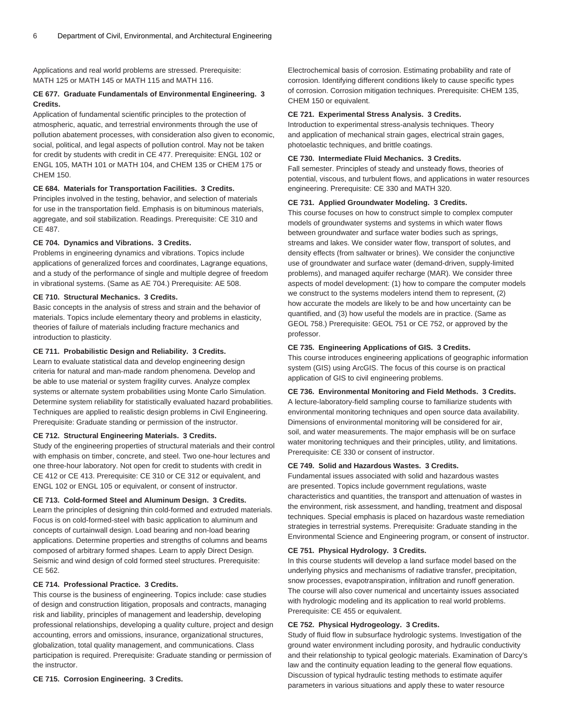Applications and real world problems are stressed. Prerequisite: [MATH 125](/search/?P=MATH%20125) or [MATH 145](/search/?P=MATH%20145) or [MATH 115](/search/?P=MATH%20115) and [MATH 116.](/search/?P=MATH%20116)

#### **CE 677. Graduate Fundamentals of Environmental Engineering. 3 Credits.**

Application of fundamental scientific principles to the protection of atmospheric, aquatic, and terrestrial environments through the use of pollution abatement processes, with consideration also given to economic, social, political, and legal aspects of pollution control. May not be taken for credit by students with credit in [CE 477.](/search/?P=CE%20477) Prerequisite: [ENGL 102](/search/?P=ENGL%20102) or [ENGL 105](/search/?P=ENGL%20105), [MATH 101](/search/?P=MATH%20101) or [MATH 104,](/search/?P=MATH%20104) and [CHEM 135](/search/?P=CHEM%20135) or [CHEM 175](/search/?P=CHEM%20175) or [CHEM 150](/search/?P=CHEM%20150).

#### **CE 684. Materials for Transportation Facilities. 3 Credits.**

Principles involved in the testing, behavior, and selection of materials for use in the transportation field. Emphasis is on bituminous materials, aggregate, and soil stabilization. Readings. Prerequisite: [CE 310](/search/?P=CE%20310) and [CE 487.](/search/?P=CE%20487)

#### **CE 704. Dynamics and Vibrations. 3 Credits.**

Problems in engineering dynamics and vibrations. Topics include applications of generalized forces and coordinates, Lagrange equations, and a study of the performance of single and multiple degree of freedom in vibrational systems. (Same as [AE 704.](/search/?P=AE%20704)) Prerequisite: [AE 508](/search/?P=AE%20508).

# **CE 710. Structural Mechanics. 3 Credits.**

Basic concepts in the analysis of stress and strain and the behavior of materials. Topics include elementary theory and problems in elasticity, theories of failure of materials including fracture mechanics and introduction to plasticity.

#### **CE 711. Probabilistic Design and Reliability. 3 Credits.**

Learn to evaluate statistical data and develop engineering design criteria for natural and man-made random phenomena. Develop and be able to use material or system fragility curves. Analyze complex systems or alternate system probabilities using Monte Carlo Simulation. Determine system reliability for statistically evaluated hazard probabilities. Techniques are applied to realistic design problems in Civil Engineering. Prerequisite: Graduate standing or permission of the instructor.

#### **CE 712. Structural Engineering Materials. 3 Credits.**

Study of the engineering properties of structural materials and their control with emphasis on timber, concrete, and steel. Two one-hour lectures and one three-hour laboratory. Not open for credit to students with credit in [CE 412](/search/?P=CE%20412) or [CE 413.](/search/?P=CE%20413) Prerequisite: [CE 310](/search/?P=CE%20310) or [CE 312](/search/?P=CE%20312) or equivalent, and [ENGL 102](/search/?P=ENGL%20102) or [ENGL 105](/search/?P=ENGL%20105) or equivalent, or consent of instructor.

# **CE 713. Cold-formed Steel and Aluminum Design. 3 Credits.**

Learn the principles of designing thin cold-formed and extruded materials. Focus is on cold-formed-steel with basic application to aluminum and concepts of curtainwall design. Load bearing and non-load bearing applications. Determine properties and strengths of columns and beams composed of arbitrary formed shapes. Learn to apply Direct Design. Seismic and wind design of cold formed steel structures. Prerequisite: [CE 562.](/search/?P=CE%20562)

# **CE 714. Professional Practice. 3 Credits.**

This course is the business of engineering. Topics include: case studies of design and construction litigation, proposals and contracts, managing risk and liability, principles of management and leadership, developing professional relationships, developing a quality culture, project and design accounting, errors and omissions, insurance, organizational structures, globalization, total quality management, and communications. Class participation is required. Prerequisite: Graduate standing or permission of the instructor.

**CE 715. Corrosion Engineering. 3 Credits.**

Electrochemical basis of corrosion. Estimating probability and rate of corrosion. Identifying different conditions likely to cause specific types of corrosion. Corrosion mitigation techniques. Prerequisite: [CHEM 135](/search/?P=CHEM%20135), [CHEM 150](/search/?P=CHEM%20150) or equivalent.

#### **CE 721. Experimental Stress Analysis. 3 Credits.**

Introduction to experimental stress-analysis techniques. Theory and application of mechanical strain gages, electrical strain gages, photoelastic techniques, and brittle coatings.

# **CE 730. Intermediate Fluid Mechanics. 3 Credits.**

Fall semester. Principles of steady and unsteady flows, theories of potential, viscous, and turbulent flows, and applications in water resources engineering. Prerequisite: [CE 330](/search/?P=CE%20330) and [MATH 320](/search/?P=MATH%20320).

#### **CE 731. Applied Groundwater Modeling. 3 Credits.**

This course focuses on how to construct simple to complex computer models of groundwater systems and systems in which water flows between groundwater and surface water bodies such as springs, streams and lakes. We consider water flow, transport of solutes, and density effects (from saltwater or brines). We consider the conjunctive use of groundwater and surface water (demand-driven, supply-limited problems), and managed aquifer recharge (MAR). We consider three aspects of model development: (1) how to compare the computer models we construct to the systems modelers intend them to represent, (2) how accurate the models are likely to be and how uncertainty can be quantified, and (3) how useful the models are in practice. (Same as [GEOL 758](/search/?P=GEOL%20758).) Prerequisite: [GEOL 751](/search/?P=GEOL%20751) or [CE 752](/search/?P=CE%20752), or approved by the professor.

#### **CE 735. Engineering Applications of GIS. 3 Credits.**

This course introduces engineering applications of geographic information system (GIS) using ArcGIS. The focus of this course is on practical application of GIS to civil engineering problems.

**CE 736. Environmental Monitoring and Field Methods. 3 Credits.** A lecture-laboratory-field sampling course to familiarize students with environmental monitoring techniques and open source data availability. Dimensions of environmental monitoring will be considered for air, soil, and water measurements. The major emphasis will be on surface water monitoring techniques and their principles, utility, and limitations. Prerequisite: [CE 330](/search/?P=CE%20330) or consent of instructor.

#### **CE 749. Solid and Hazardous Wastes. 3 Credits.**

Fundamental issues associated with solid and hazardous wastes are presented. Topics include government regulations, waste characteristics and quantities, the transport and attenuation of wastes in the environment, risk assessment, and handling, treatment and disposal techniques. Special emphasis is placed on hazardous waste remediation strategies in terrestrial systems. Prerequisite: Graduate standing in the Environmental Science and Engineering program, or consent of instructor.

## **CE 751. Physical Hydrology. 3 Credits.**

In this course students will develop a land surface model based on the underlying physics and mechanisms of radiative transfer, precipitation, snow processes, evapotranspiration, infiltration and runoff generation. The course will also cover numerical and uncertainty issues associated with hydrologic modeling and its application to real world problems. Prerequisite: [CE 455](/search/?P=CE%20455) or equivalent.

#### **CE 752. Physical Hydrogeology. 3 Credits.**

Study of fluid flow in subsurface hydrologic systems. Investigation of the ground water environment including porosity, and hydraulic conductivity and their relationship to typical geologic materials. Examination of Darcy's law and the continuity equation leading to the general flow equations. Discussion of typical hydraulic testing methods to estimate aquifer parameters in various situations and apply these to water resource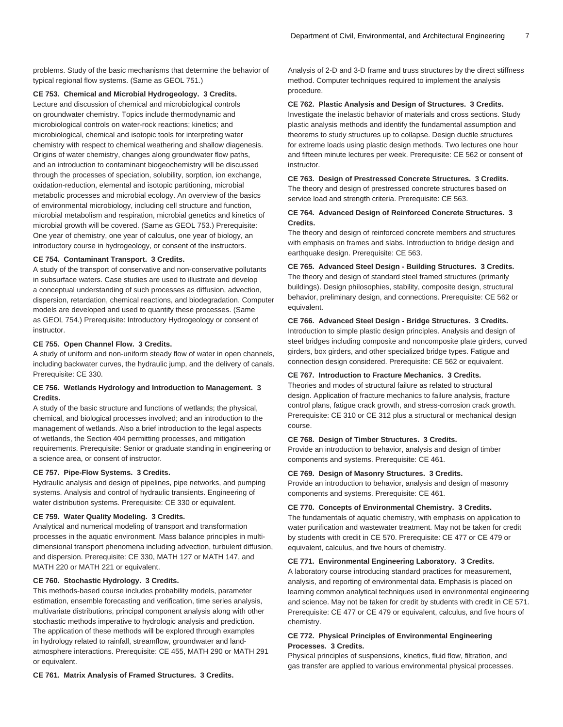problems. Study of the basic mechanisms that determine the behavior of typical regional flow systems. (Same as [GEOL 751](/search/?P=GEOL%20751).)

**CE 753. Chemical and Microbial Hydrogeology. 3 Credits.**

Lecture and discussion of chemical and microbiological controls on groundwater chemistry. Topics include thermodynamic and microbiological controls on water-rock reactions; kinetics; and microbiological, chemical and isotopic tools for interpreting water chemistry with respect to chemical weathering and shallow diagenesis. Origins of water chemistry, changes along groundwater flow paths, and an introduction to contaminant biogeochemistry will be discussed through the processes of speciation, solubility, sorption, ion exchange, oxidation-reduction, elemental and isotopic partitioning, microbial metabolic processes and microbial ecology. An overview of the basics of environmental microbiology, including cell structure and function, microbial metabolism and respiration, microbial genetics and kinetics of microbial growth will be covered. (Same as [GEOL 753](/search/?P=GEOL%20753).) Prerequisite: One year of chemistry, one year of calculus, one year of biology, an introductory course in hydrogeology, or consent of the instructors.

#### **CE 754. Contaminant Transport. 3 Credits.**

A study of the transport of conservative and non-conservative pollutants in subsurface waters. Case studies are used to illustrate and develop a conceptual understanding of such processes as diffusion, advection, dispersion, retardation, chemical reactions, and biodegradation. Computer models are developed and used to quantify these processes. (Same as [GEOL 754](/search/?P=GEOL%20754).) Prerequisite: Introductory Hydrogeology or consent of instructor.

#### **CE 755. Open Channel Flow. 3 Credits.**

A study of uniform and non-uniform steady flow of water in open channels, including backwater curves, the hydraulic jump, and the delivery of canals. Prerequisite: [CE 330.](/search/?P=CE%20330)

# **CE 756. Wetlands Hydrology and Introduction to Management. 3 Credits.**

A study of the basic structure and functions of wetlands; the physical, chemical, and biological processes involved; and an introduction to the management of wetlands. Also a brief introduction to the legal aspects of wetlands, the Section 404 permitting processes, and mitigation requirements. Prerequisite: Senior or graduate standing in engineering or a science area, or consent of instructor.

#### **CE 757. Pipe-Flow Systems. 3 Credits.**

Hydraulic analysis and design of pipelines, pipe networks, and pumping systems. Analysis and control of hydraulic transients. Engineering of water distribution systems. Prerequisite: [CE 330](/search/?P=CE%20330) or equivalent.

#### **CE 759. Water Quality Modeling. 3 Credits.**

Analytical and numerical modeling of transport and transformation processes in the aquatic environment. Mass balance principles in multidimensional transport phenomena including advection, turbulent diffusion, and dispersion. Prerequisite: [CE 330](/search/?P=CE%20330), [MATH 127](/search/?P=MATH%20127) or [MATH 147,](/search/?P=MATH%20147) and [MATH 220](/search/?P=MATH%20220) or [MATH 221](/search/?P=MATH%20221) or equivalent.

#### **CE 760. Stochastic Hydrology. 3 Credits.**

This methods-based course includes probability models, parameter estimation, ensemble forecasting and verification, time series analysis, multivariate distributions, principal component analysis along with other stochastic methods imperative to hydrologic analysis and prediction. The application of these methods will be explored through examples in hydrology related to rainfall, streamflow, groundwater and landatmosphere interactions. Prerequisite: [CE 455,](/search/?P=CE%20455) [MATH 290](/search/?P=MATH%20290) or [MATH 291](/search/?P=MATH%20291) or equivalent.

**CE 761. Matrix Analysis of Framed Structures. 3 Credits.**

Analysis of 2-D and 3-D frame and truss structures by the direct stiffness method. Computer techniques required to implement the analysis procedure.

#### **CE 762. Plastic Analysis and Design of Structures. 3 Credits.**

Investigate the inelastic behavior of materials and cross sections. Study plastic analysis methods and identify the fundamental assumption and theorems to study structures up to collapse. Design ductile structures for extreme loads using plastic design methods. Two lectures one hour and fifteen minute lectures per week. Prerequisite: [CE 562](/search/?P=CE%20562) or consent of instructor.

# **CE 763. Design of Prestressed Concrete Structures. 3 Credits.**

The theory and design of prestressed concrete structures based on service load and strength criteria. Prerequisite: [CE 563](/search/?P=CE%20563).

# **CE 764. Advanced Design of Reinforced Concrete Structures. 3 Credits.**

The theory and design of reinforced concrete members and structures with emphasis on frames and slabs. Introduction to bridge design and earthquake design. Prerequisite: [CE 563](/search/?P=CE%20563).

# **CE 765. Advanced Steel Design - Building Structures. 3 Credits.**

The theory and design of standard steel framed structures (primarily buildings). Design philosophies, stability, composite design, structural behavior, preliminary design, and connections. Prerequisite: [CE 562](/search/?P=CE%20562) or equivalent.

#### **CE 766. Advanced Steel Design - Bridge Structures. 3 Credits.**

Introduction to simple plastic design principles. Analysis and design of steel bridges including composite and noncomposite plate girders, curved girders, box girders, and other specialized bridge types. Fatigue and connection design considered. Prerequisite: [CE 562](/search/?P=CE%20562) or equivalent.

#### **CE 767. Introduction to Fracture Mechanics. 3 Credits.**

Theories and modes of structural failure as related to structural design. Application of fracture mechanics to failure analysis, fracture control plans, fatigue crack growth, and stress-corrosion crack growth. Prerequisite: CE 310 or [CE 312](/search/?P=CE%20312) plus a structural or mechanical design course.

#### **CE 768. Design of Timber Structures. 3 Credits.**

Provide an introduction to behavior, analysis and design of timber components and systems. Prerequisite: [CE 461](/search/?P=CE%20461).

#### **CE 769. Design of Masonry Structures. 3 Credits.**

Provide an introduction to behavior, analysis and design of masonry components and systems. Prerequisite: [CE 461](/search/?P=CE%20461).

#### **CE 770. Concepts of Environmental Chemistry. 3 Credits.**

The fundamentals of aquatic chemistry, with emphasis on application to water purification and wastewater treatment. May not be taken for credit by students with credit in [CE 570.](/search/?P=CE%20570) Prerequisite: [CE 477](/search/?P=CE%20477) or [CE 479](/search/?P=CE%20479) or equivalent, calculus, and five hours of chemistry.

#### **CE 771. Environmental Engineering Laboratory. 3 Credits.**

A laboratory course introducing standard practices for measurement, analysis, and reporting of environmental data. Emphasis is placed on learning common analytical techniques used in environmental engineering and science. May not be taken for credit by students with credit in [CE 571.](/search/?P=CE%20571) Prerequisite: [CE 477](/search/?P=CE%20477) or [CE 479](/search/?P=CE%20479) or equivalent, calculus, and five hours of chemistry.

# **CE 772. Physical Principles of Environmental Engineering Processes. 3 Credits.**

Physical principles of suspensions, kinetics, fluid flow, filtration, and gas transfer are applied to various environmental physical processes.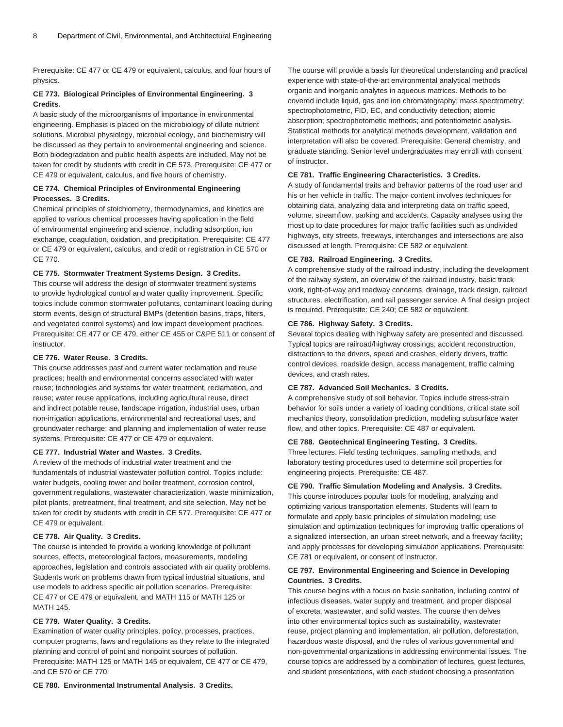Prerequisite: [CE 477](/search/?P=CE%20477) or [CE 479](/search/?P=CE%20479) or equivalent, calculus, and four hours of physics.

## **CE 773. Biological Principles of Environmental Engineering. 3 Credits.**

A basic study of the microorganisms of importance in environmental engineering. Emphasis is placed on the microbiology of dilute nutrient solutions. Microbial physiology, microbial ecology, and biochemistry will be discussed as they pertain to environmental engineering and science. Both biodegradation and public health aspects are included. May not be taken for credit by students with credit in [CE 573.](/search/?P=CE%20573) Prerequisite: [CE 477](/search/?P=CE%20477) or [CE 479](/search/?P=CE%20479) or equivalent, calculus, and five hours of chemistry.

#### **CE 774. Chemical Principles of Environmental Engineering Processes. 3 Credits.**

Chemical principles of stoichiometry, thermodynamics, and kinetics are applied to various chemical processes having application in the field of environmental engineering and science, including adsorption, ion exchange, coagulation, oxidation, and precipitation. Prerequisite: [CE 477](/search/?P=CE%20477) or [CE 479](/search/?P=CE%20479) or equivalent, calculus, and credit or registration in [CE 570](/search/?P=CE%20570) or [CE 770.](/search/?P=CE%20770)

#### **CE 775. Stormwater Treatment Systems Design. 3 Credits.**

This course will address the design of stormwater treatment systems to provide hydrological control and water quality improvement. Specific topics include common stormwater pollutants, contaminant loading during storm events, design of structural BMPs (detention basins, traps, filters, and vegetated control systems) and low impact development practices. Prerequisite: [CE 477](/search/?P=CE%20477) or [CE 479](/search/?P=CE%20479), either [CE 455](/search/?P=CE%20455) or [C&PE 511](/search/?P=C%26PE%20511) or consent of instructor.

# **CE 776. Water Reuse. 3 Credits.**

This course addresses past and current water reclamation and reuse practices; health and environmental concerns associated with water reuse; technologies and systems for water treatment, reclamation, and reuse; water reuse applications, including agricultural reuse, direct and indirect potable reuse, landscape irrigation, industrial uses, urban non-irrigation applications, environmental and recreational uses, and groundwater recharge; and planning and implementation of water reuse systems. Prerequisite: [CE 477](/search/?P=CE%20477) or [CE 479](/search/?P=CE%20479) or equivalent.

#### **CE 777. Industrial Water and Wastes. 3 Credits.**

A review of the methods of industrial water treatment and the fundamentals of industrial wastewater pollution control. Topics include: water budgets, cooling tower and boiler treatment, corrosion control, government regulations, wastewater characterization, waste minimization, pilot plants, pretreatment, final treatment, and site selection. May not be taken for credit by students with credit in [CE 577.](/search/?P=CE%20577) Prerequisite: [CE 477](/search/?P=CE%20477) or [CE 479](/search/?P=CE%20479) or equivalent.

#### **CE 778. Air Quality. 3 Credits.**

The course is intended to provide a working knowledge of pollutant sources, effects, meteorological factors, measurements, modeling approaches, legislation and controls associated with air quality problems. Students work on problems drawn from typical industrial situations, and use models to address specific air pollution scenarios. Prerequisite: [CE 477](/search/?P=CE%20477) or [CE 479](/search/?P=CE%20479) or equivalent, and [MATH 115](/search/?P=MATH%20115) or [MATH 125](/search/?P=MATH%20125) or [MATH 145](/search/?P=MATH%20145).

# **CE 779. Water Quality. 3 Credits.**

Examination of water quality principles, policy, processes, practices, computer programs, laws and regulations as they relate to the integrated planning and control of point and nonpoint sources of pollution. Prerequisite: [MATH 125](/search/?P=MATH%20125) or [MATH 145](/search/?P=MATH%20145) or equivalent, [CE 477](/search/?P=CE%20477) or [CE 479,](/search/?P=CE%20479) and [CE 570](/search/?P=CE%20570) or [CE 770](/search/?P=CE%20770).

**CE 780. Environmental Instrumental Analysis. 3 Credits.**

The course will provide a basis for theoretical understanding and practical experience with state-of-the-art environmental analytical methods organic and inorganic analytes in aqueous matrices. Methods to be covered include liquid, gas and ion chromatography; mass spectrometry; spectrophotometric, FID, EC, and conductivity detection; atomic absorption; spectrophotometic methods; and potentiometric analysis. Statistical methods for analytical methods development, validation and interpretation will also be covered. Prerequisite: General chemistry, and graduate standing. Senior level undergraduates may enroll with consent of instructor.

#### **CE 781. Traffic Engineering Characteristics. 3 Credits.**

A study of fundamental traits and behavior patterns of the road user and his or her vehicle in traffic. The major content involves techniques for obtaining data, analyzing data and interpreting data on traffic speed, volume, streamflow, parking and accidents. Capacity analyses using the most up to date procedures for major traffic facilities such as undivided highways, city streets, freeways, interchanges and intersections are also discussed at length. Prerequisite: [CE 582](/search/?P=CE%20582) or equivalent.

#### **CE 783. Railroad Engineering. 3 Credits.**

A comprehensive study of the railroad industry, including the development of the railway system, an overview of the railroad industry, basic track work, right-of-way and roadway concerns, drainage, track design, railroad structures, electrification, and rail passenger service. A final design project is required. Prerequisite: [CE 240;](/search/?P=CE%20240) [CE 582](/search/?P=CE%20582) or equivalent.

#### **CE 786. Highway Safety. 3 Credits.**

Several topics dealing with highway safety are presented and discussed. Typical topics are railroad/highway crossings, accident reconstruction, distractions to the drivers, speed and crashes, elderly drivers, traffic control devices, roadside design, access management, traffic calming devices, and crash rates.

# **CE 787. Advanced Soil Mechanics. 3 Credits.**

A comprehensive study of soil behavior. Topics include stress-strain behavior for soils under a variety of loading conditions, critical state soil mechanics theory, consolidation prediction, modeling subsurface water flow, and other topics. Prerequisite: [CE 487](/search/?P=CE%20487) or equivalent.

#### **CE 788. Geotechnical Engineering Testing. 3 Credits.**

Three lectures. Field testing techniques, sampling methods, and laboratory testing procedures used to determine soil properties for engineering projects. Prerequisite: [CE 487](/search/?P=CE%20487).

#### **CE 790. Traffic Simulation Modeling and Analysis. 3 Credits.**

This course introduces popular tools for modeling, analyzing and optimizing various transportation elements. Students will learn to formulate and apply basic principles of simulation modeling; use simulation and optimization techniques for improving traffic operations of a signalized intersection, an urban street network, and a freeway facility; and apply processes for developing simulation applications. Prerequisite: [CE 781](/search/?P=CE%20781) or equivalent, or consent of instructor.

# **CE 797. Environmental Engineering and Science in Developing Countries. 3 Credits.**

This course begins with a focus on basic sanitation, including control of infectious diseases, water supply and treatment, and proper disposal of excreta, wastewater, and solid wastes. The course then delves into other environmental topics such as sustainability, wastewater reuse, project planning and implementation, air pollution, deforestation, hazardous waste disposal, and the roles of various governmental and non-governmental organizations in addressing environmental issues. The course topics are addressed by a combination of lectures, guest lectures, and student presentations, with each student choosing a presentation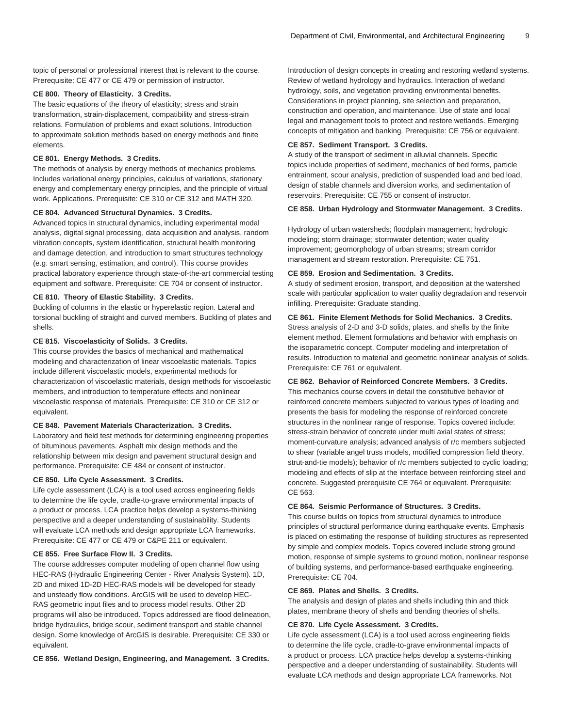topic of personal or professional interest that is relevant to the course. Prerequisite: [CE 477](/search/?P=CE%20477) or [CE 479](/search/?P=CE%20479) or permission of instructor.

#### **CE 800. Theory of Elasticity. 3 Credits.**

The basic equations of the theory of elasticity; stress and strain transformation, strain-displacement, compatibility and stress-strain relations. Formulation of problems and exact solutions. Introduction to approximate solution methods based on energy methods and finite elements.

#### **CE 801. Energy Methods. 3 Credits.**

The methods of analysis by energy methods of mechanics problems. Includes variational energy principles, calculus of variations, stationary energy and complementary energy principles, and the principle of virtual work. Applications. Prerequisite: [CE 310](/search/?P=CE%20310) or [CE 312](/search/?P=CE%20312) and [MATH 320.](/search/?P=MATH%20320)

#### **CE 804. Advanced Structural Dynamics. 3 Credits.**

Advanced topics in structural dynamics, including experimental modal analysis, digital signal processing, data acquisition and analysis, random vibration concepts, system identification, structural health monitoring and damage detection, and introduction to smart structures technology (e.g. smart sensing, estimation, and control). This course provides practical laboratory experience through state-of-the-art commercial testing equipment and software. Prerequisite: [CE 704](/search/?P=CE%20704) or consent of instructor.

#### **CE 810. Theory of Elastic Stability. 3 Credits.**

Buckling of columns in the elastic or hyperelastic region. Lateral and torsional buckling of straight and curved members. Buckling of plates and shells.

#### **CE 815. Viscoelasticity of Solids. 3 Credits.**

This course provides the basics of mechanical and mathematical modeling and characterization of linear viscoelastic materials. Topics include different viscoelastic models, experimental methods for characterization of viscoelastic materials, design methods for viscoelastic members, and introduction to temperature effects and nonlinear viscoelastic response of materials. Prerequisite: [CE 310](/search/?P=CE%20310) or [CE 312](/search/?P=CE%20312) or equivalent.

#### **CE 848. Pavement Materials Characterization. 3 Credits.**

Laboratory and field test methods for determining engineering properties of bituminous pavements. Asphalt mix design methods and the relationship between mix design and pavement structural design and performance. Prerequisite: [CE 484](/search/?P=CE%20484) or consent of instructor.

# **CE 850. Life Cycle Assessment. 3 Credits.**

Life cycle assessment (LCA) is a tool used across engineering fields to determine the life cycle, cradle-to-grave environmental impacts of a product or process. LCA practice helps develop a systems-thinking perspective and a deeper understanding of sustainability. Students will evaluate LCA methods and design appropriate LCA frameworks. Prerequisite: [CE 477](/search/?P=CE%20477) or [CE 479](/search/?P=CE%20479) or [C&PE 211](/search/?P=C%26PE%20211) or equivalent.

# **CE 855. Free Surface Flow II. 3 Credits.**

The course addresses computer modeling of open channel flow using HEC-RAS (Hydraulic Engineering Center - River Analysis System). 1D, 2D and mixed 1D-2D HEC-RAS models will be developed for steady and unsteady flow conditions. ArcGIS will be used to develop HEC-RAS geometric input files and to process model results. Other 2D programs will also be introduced. Topics addressed are flood delineation, bridge hydraulics, bridge scour, sediment transport and stable channel design. Some knowledge of ArcGIS is desirable. Prerequisite: [CE 330](/search/?P=CE%20330) or equivalent.

**CE 856. Wetland Design, Engineering, and Management. 3 Credits.**

Introduction of design concepts in creating and restoring wetland systems. Review of wetland hydrology and hydraulics. Interaction of wetland hydrology, soils, and vegetation providing environmental benefits. Considerations in project planning, site selection and preparation, construction and operation, and maintenance. Use of state and local legal and management tools to protect and restore wetlands. Emerging concepts of mitigation and banking. Prerequisite: [CE 756](/search/?P=CE%20756) or equivalent.

#### **CE 857. Sediment Transport. 3 Credits.**

A study of the transport of sediment in alluvial channels. Specific topics include properties of sediment, mechanics of bed forms, particle entrainment, scour analysis, prediction of suspended load and bed load, design of stable channels and diversion works, and sedimentation of reservoirs. Prerequisite: [CE 755](/search/?P=CE%20755) or consent of instructor.

#### **CE 858. Urban Hydrology and Stormwater Management. 3 Credits.**

Hydrology of urban watersheds; floodplain management; hydrologic modeling; storm drainage; stormwater detention; water quality improvement; geomorphology of urban streams; stream corridor management and stream restoration. Prerequisite: [CE 751](/search/?P=CE%20751).

#### **CE 859. Erosion and Sedimentation. 3 Credits.**

A study of sediment erosion, transport, and deposition at the watershed scale with particular application to water quality degradation and reservoir infilling. Prerequisite: Graduate standing.

#### **CE 861. Finite Element Methods for Solid Mechanics. 3 Credits.**

Stress analysis of 2-D and 3-D solids, plates, and shells by the finite element method. Element formulations and behavior with emphasis on the isoparametric concept. Computer modeling and interpretation of results. Introduction to material and geometric nonlinear analysis of solids. Prerequisite: [CE 761](/search/?P=CE%20761) or equivalent.

#### **CE 862. Behavior of Reinforced Concrete Members. 3 Credits.**

This mechanics course covers in detail the constitutive behavior of reinforced concrete members subjected to various types of loading and presents the basis for modeling the response of reinforced concrete structures in the nonlinear range of response. Topics covered include: stress-strain behavior of concrete under multi axial states of stress; moment-curvature analysis; advanced analysis of r/c members subjected to shear (variable angel truss models, modified compression field theory, strut-and-tie models); behavior of r/c members subjected to cyclic loading; modeling and effects of slip at the interface between reinforcing steel and concrete. Suggested prerequisite [CE 764](/search/?P=CE%20764) or equivalent. Prerequisite: [CE 563.](/search/?P=CE%20563)

#### **CE 864. Seismic Performance of Structures. 3 Credits.**

This course builds on topics from structural dynamics to introduce principles of structural performance during earthquake events. Emphasis is placed on estimating the response of building structures as represented by simple and complex models. Topics covered include strong ground motion, response of simple systems to ground motion, nonlinear response of building systems, and performance-based earthquake engineering. Prerequisite: [CE 704](/search/?P=CE%20704).

#### **CE 869. Plates and Shells. 3 Credits.**

The analysis and design of plates and shells including thin and thick plates, membrane theory of shells and bending theories of shells.

#### **CE 870. Life Cycle Assessment. 3 Credits.**

Life cycle assessment (LCA) is a tool used across engineering fields to determine the life cycle, cradle-to-grave environmental impacts of a product or process. LCA practice helps develop a systems-thinking perspective and a deeper understanding of sustainability. Students will evaluate LCA methods and design appropriate LCA frameworks. Not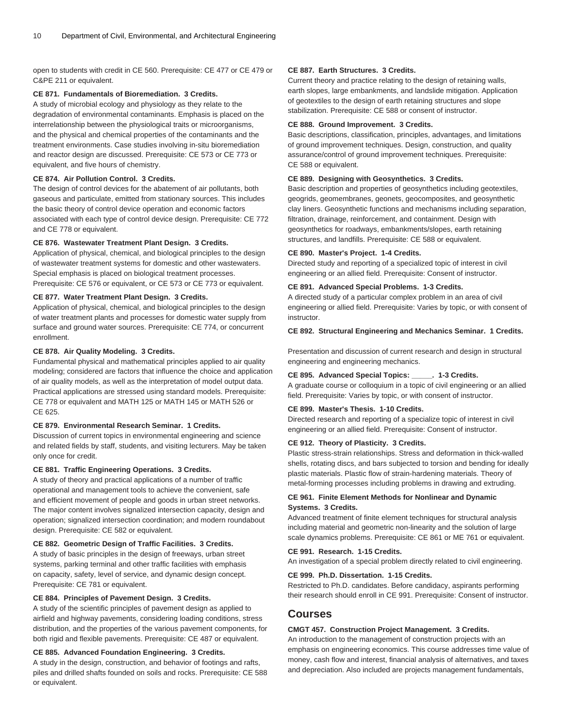open to students with credit in CE 560. Prerequisite: [CE 477](/search/?P=CE%20477) or [CE 479](/search/?P=CE%20479) or [C&PE 211](/search/?P=C%26PE%20211) or equivalent.

#### **CE 871. Fundamentals of Bioremediation. 3 Credits.**

A study of microbial ecology and physiology as they relate to the degradation of environmental contaminants. Emphasis is placed on the interrelationship between the physiological traits or microorganisms, and the physical and chemical properties of the contaminants and the treatment environments. Case studies involving in-situ bioremediation and reactor design are discussed. Prerequisite: [CE 573](/search/?P=CE%20573) or [CE 773](/search/?P=CE%20773) or equivalent, and five hours of chemistry.

#### **CE 874. Air Pollution Control. 3 Credits.**

The design of control devices for the abatement of air pollutants, both gaseous and particulate, emitted from stationary sources. This includes the basic theory of control device operation and economic factors associated with each type of control device design. Prerequisite: [CE 772](/search/?P=CE%20772) and [CE 778](/search/?P=CE%20778) or equivalent.

# **CE 876. Wastewater Treatment Plant Design. 3 Credits.**

Application of physical, chemical, and biological principles to the design of wastewater treatment systems for domestic and other wastewaters. Special emphasis is placed on biological treatment processes. Prerequisite: [CE 576](/search/?P=CE%20576) or equivalent, or [CE 573](/search/?P=CE%20573) or [CE 773](/search/?P=CE%20773) or equivalent.

#### **CE 877. Water Treatment Plant Design. 3 Credits.**

Application of physical, chemical, and biological principles to the design of water treatment plants and processes for domestic water supply from surface and ground water sources. Prerequisite: [CE 774](/search/?P=CE%20774), or concurrent enrollment.

#### **CE 878. Air Quality Modeling. 3 Credits.**

Fundamental physical and mathematical principles applied to air quality modeling; considered are factors that influence the choice and application of air quality models, as well as the interpretation of model output data. Practical applications are stressed using standard models. Prerequisite: [CE 778](/search/?P=CE%20778) or equivalent and [MATH 125](/search/?P=MATH%20125) or [MATH 145](/search/?P=MATH%20145) or [MATH 526](/search/?P=MATH%20526) or [CE 625.](/search/?P=CE%20625)

#### **CE 879. Environmental Research Seminar. 1 Credits.**

Discussion of current topics in environmental engineering and science and related fields by staff, students, and visiting lecturers. May be taken only once for credit.

#### **CE 881. Traffic Engineering Operations. 3 Credits.**

A study of theory and practical applications of a number of traffic operational and management tools to achieve the convenient, safe and efficient movement of people and goods in urban street networks. The major content involves signalized intersection capacity, design and operation; signalized intersection coordination; and modern roundabout design. Prerequisite: [CE 582](/search/?P=CE%20582) or equivalent.

# **CE 882. Geometric Design of Traffic Facilities. 3 Credits.**

A study of basic principles in the design of freeways, urban street systems, parking terminal and other traffic facilities with emphasis on capacity, safety, level of service, and dynamic design concept. Prerequisite: [CE 781](/search/?P=CE%20781) or equivalent.

#### **CE 884. Principles of Pavement Design. 3 Credits.**

A study of the scientific principles of pavement design as applied to airfield and highway pavements, considering loading conditions, stress distribution, and the properties of the various pavement components, for both rigid and flexible pavements. Prerequisite: [CE 487](/search/?P=CE%20487) or equivalent.

## **CE 885. Advanced Foundation Engineering. 3 Credits.**

A study in the design, construction, and behavior of footings and rafts, piles and drilled shafts founded on soils and rocks. Prerequisite: [CE 588](/search/?P=CE%20588) or equivalent.

## **CE 887. Earth Structures. 3 Credits.**

Current theory and practice relating to the design of retaining walls, earth slopes, large embankments, and landslide mitigation. Application of geotextiles to the design of earth retaining structures and slope stabilization. Prerequisite: [CE 588](/search/?P=CE%20588) or consent of instructor.

#### **CE 888. Ground Improvement. 3 Credits.**

Basic descriptions, classification, principles, advantages, and limitations of ground improvement techniques. Design, construction, and quality assurance/control of ground improvement techniques. Prerequisite: [CE 588](/search/?P=CE%20588) or equivalent.

#### **CE 889. Designing with Geosynthetics. 3 Credits.**

Basic description and properties of geosynthetics including geotextiles, geogrids, geomembranes, geonets, geocomposites, and geosynthetic clay liners. Geosynthetic functions and mechanisms including separation, filtration, drainage, reinforcement, and containment. Design with geosynthetics for roadways, embankments/slopes, earth retaining structures, and landfills. Prerequisite: [CE 588](/search/?P=CE%20588) or equivalent.

# **CE 890. Master's Project. 1-4 Credits.**

Directed study and reporting of a specialized topic of interest in civil engineering or an allied field. Prerequisite: Consent of instructor.

#### **CE 891. Advanced Special Problems. 1-3 Credits.**

A directed study of a particular complex problem in an area of civil engineering or allied field. Prerequisite: Varies by topic, or with consent of instructor.

#### **CE 892. Structural Engineering and Mechanics Seminar. 1 Credits.**

Presentation and discussion of current research and design in structural engineering and engineering mechanics.

#### **CE 895. Advanced Special Topics: \_\_\_\_\_. 1-3 Credits.**

A graduate course or colloquium in a topic of civil engineering or an allied field. Prerequisite: Varies by topic, or with consent of instructor.

#### **CE 899. Master's Thesis. 1-10 Credits.**

Directed research and reporting of a specialize topic of interest in civil engineering or an allied field. Prerequisite: Consent of instructor.

#### **CE 912. Theory of Plasticity. 3 Credits.**

Plastic stress-strain relationships. Stress and deformation in thick-walled shells, rotating discs, and bars subjected to torsion and bending for ideally plastic materials. Plastic flow of strain-hardening materials. Theory of metal-forming processes including problems in drawing and extruding.

#### **CE 961. Finite Element Methods for Nonlinear and Dynamic Systems. 3 Credits.**

Advanced treatment of finite element techniques for structural analysis including material and geometric non-linearity and the solution of large scale dynamics problems. Prerequisite: [CE 861](/search/?P=CE%20861) or ME 761 or equivalent.

#### **CE 991. Research. 1-15 Credits.**

An investigation of a special problem directly related to civil engineering.

#### **CE 999. Ph.D. Dissertation. 1-15 Credits.**

Restricted to Ph.D. candidates. Before candidacy, aspirants performing their research should enroll in [CE 991](/search/?P=CE%20991). Prerequisite: Consent of instructor.

## **Courses**

#### **CMGT 457. Construction Project Management. 3 Credits.**

An introduction to the management of construction projects with an emphasis on engineering economics. This course addresses time value of money, cash flow and interest, financial analysis of alternatives, and taxes and depreciation. Also included are projects management fundamentals,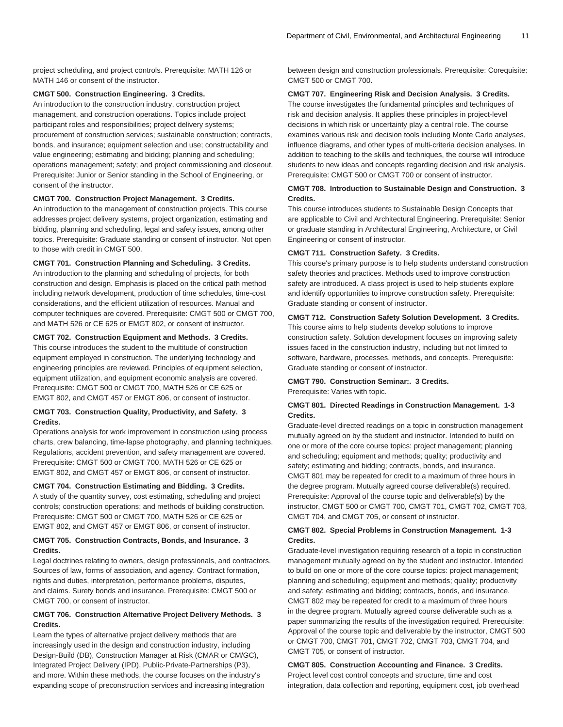project scheduling, and project controls. Prerequisite: [MATH 126](/search/?P=MATH%20126) or [MATH 146](/search/?P=MATH%20146) or consent of the instructor.

#### **CMGT 500. Construction Engineering. 3 Credits.**

An introduction to the construction industry, construction project management, and construction operations. Topics include project participant roles and responsibilities; project delivery systems; procurement of construction services; sustainable construction; contracts, bonds, and insurance; equipment selection and use; constructability and value engineering; estimating and bidding; planning and scheduling; operations management; safety; and project commissioning and closeout. Prerequisite: Junior or Senior standing in the School of Engineering, or consent of the instructor.

#### **CMGT 700. Construction Project Management. 3 Credits.**

An introduction to the management of construction projects. This course addresses project delivery systems, project organization, estimating and bidding, planning and scheduling, legal and safety issues, among other topics. Prerequisite: Graduate standing or consent of instructor. Not open to those with credit in [CMGT 500](/search/?P=CMGT%20500).

#### **CMGT 701. Construction Planning and Scheduling. 3 Credits.**

An introduction to the planning and scheduling of projects, for both construction and design. Emphasis is placed on the critical path method including network development, production of time schedules, time-cost considerations, and the efficient utilization of resources. Manual and computer techniques are covered. Prerequisite: [CMGT 500](/search/?P=CMGT%20500) or [CMGT 700](/search/?P=CMGT%20700), and [MATH 526](/search/?P=MATH%20526) or [CE 625](/search/?P=CE%20625) or [EMGT 802](/search/?P=EMGT%20802), or consent of instructor.

# **CMGT 702. Construction Equipment and Methods. 3 Credits.**

This course introduces the student to the multitude of construction equipment employed in construction. The underlying technology and engineering principles are reviewed. Principles of equipment selection, equipment utilization, and equipment economic analysis are covered. Prerequisite: [CMGT 500](/search/?P=CMGT%20500) or [CMGT 700,](/search/?P=CMGT%20700) [MATH 526](/search/?P=MATH%20526) or [CE 625](/search/?P=CE%20625) or [EMGT 802,](/search/?P=EMGT%20802) and [CMGT 457](/search/?P=CMGT%20457) or [EMGT 806](/search/?P=EMGT%20806), or consent of instructor.

### **CMGT 703. Construction Quality, Productivity, and Safety. 3 Credits.**

Operations analysis for work improvement in construction using process charts, crew balancing, time-lapse photography, and planning techniques. Regulations, accident prevention, and safety management are covered. Prerequisite: [CMGT 500](/search/?P=CMGT%20500) or [CMGT 700,](/search/?P=CMGT%20700) [MATH 526](/search/?P=MATH%20526) or [CE 625](/search/?P=CE%20625) or [EMGT 802,](/search/?P=EMGT%20802) and [CMGT 457](/search/?P=CMGT%20457) or [EMGT 806](/search/?P=EMGT%20806), or consent of instructor.

#### **CMGT 704. Construction Estimating and Bidding. 3 Credits.**

A study of the quantity survey, cost estimating, scheduling and project controls; construction operations; and methods of building construction. Prerequisite: [CMGT 500](/search/?P=CMGT%20500) or [CMGT 700,](/search/?P=CMGT%20700) [MATH 526](/search/?P=MATH%20526) or [CE 625](/search/?P=CE%20625) or [EMGT 802,](/search/?P=EMGT%20802) and [CMGT 457](/search/?P=CMGT%20457) or [EMGT 806](/search/?P=EMGT%20806), or consent of instructor.

# **CMGT 705. Construction Contracts, Bonds, and Insurance. 3 Credits.**

Legal doctrines relating to owners, design professionals, and contractors. Sources of law, forms of association, and agency. Contract formation, rights and duties, interpretation, performance problems, disputes, and claims. Surety bonds and insurance. Prerequisite: [CMGT 500](/search/?P=CMGT%20500) or [CMGT 700](/search/?P=CMGT%20700), or consent of instructor.

# **CMGT 706. Construction Alternative Project Delivery Methods. 3 Credits.**

Learn the types of alternative project delivery methods that are increasingly used in the design and construction industry, including Design-Build (DB), Construction Manager at Risk (CMAR or CM/GC), Integrated Project Delivery (IPD), Public-Private-Partnerships (P3), and more. Within these methods, the course focuses on the industry's expanding scope of preconstruction services and increasing integration between design and construction professionals. Prerequisite: Corequisite: [CMGT 500](/search/?P=CMGT%20500) or [CMGT 700](/search/?P=CMGT%20700).

# **CMGT 707. Engineering Risk and Decision Analysis. 3 Credits.**

The course investigates the fundamental principles and techniques of risk and decision analysis. It applies these principles in project-level decisions in which risk or uncertainty play a central role. The course examines various risk and decision tools including Monte Carlo analyses, influence diagrams, and other types of multi-criteria decision analyses. In addition to teaching to the skills and techniques, the course will introduce students to new ideas and concepts regarding decision and risk analysis. Prerequisite: [CMGT 500](/search/?P=CMGT%20500) or [CMGT 700](/search/?P=CMGT%20700) or consent of instructor.

#### **CMGT 708. Introduction to Sustainable Design and Construction. 3 Credits.**

This course introduces students to Sustainable Design Concepts that are applicable to Civil and Architectural Engineering. Prerequisite: Senior or graduate standing in Architectural Engineering, Architecture, or Civil Engineering or consent of instructor.

# **CMGT 711. Construction Safety. 3 Credits.**

This course's primary purpose is to help students understand construction safety theories and practices. Methods used to improve construction safety are introduced. A class project is used to help students explore and identify opportunities to improve construction safety. Prerequisite: Graduate standing or consent of instructor.

#### **CMGT 712. Construction Safety Solution Development. 3 Credits.**

This course aims to help students develop solutions to improve construction safety. Solution development focuses on improving safety issues faced in the construction industry, including but not limited to software, hardware, processes, methods, and concepts. Prerequisite: Graduate standing or consent of instructor.

# **CMGT 790. Construction Seminar:. 3 Credits.**

Prerequisite: Varies with topic.

#### **CMGT 801. Directed Readings in Construction Management. 1-3 Credits.**

Graduate-level directed readings on a topic in construction management mutually agreed on by the student and instructor. Intended to build on one or more of the core course topics: project management; planning and scheduling; equipment and methods; quality; productivity and safety; estimating and bidding; contracts, bonds, and insurance. [CMGT 801](/search/?P=CMGT%20801) may be repeated for credit to a maximum of three hours in the degree program. Mutually agreed course deliverable(s) required. Prerequisite: Approval of the course topic and deliverable(s) by the instructor, [CMGT 500](/search/?P=CMGT%20500) or [CMGT 700](/search/?P=CMGT%20700), [CMGT 701,](/search/?P=CMGT%20701) [CMGT 702](/search/?P=CMGT%20702), [CMGT 703](/search/?P=CMGT%20703), [CMGT 704](/search/?P=CMGT%20704), and [CMGT 705](/search/?P=CMGT%20705), or consent of instructor.

#### **CMGT 802. Special Problems in Construction Management. 1-3 Credits.**

Graduate-level investigation requiring research of a topic in construction management mutually agreed on by the student and instructor. Intended to build on one or more of the core course topics: project management; planning and scheduling; equipment and methods; quality; productivity and safety; estimating and bidding; contracts, bonds, and insurance. [CMGT 802](/search/?P=CMGT%20802) may be repeated for credit to a maximum of three hours in the degree program. Mutually agreed course deliverable such as a paper summarizing the results of the investigation required. Prerequisite: Approval of the course topic and deliverable by the instructor, [CMGT 500](/search/?P=CMGT%20500) or [CMGT 700,](/search/?P=CMGT%20700) [CMGT 701](/search/?P=CMGT%20701), [CMGT 702,](/search/?P=CMGT%20702) [CMGT 703](/search/?P=CMGT%20703), [CMGT 704,](/search/?P=CMGT%20704) and [CMGT 705](/search/?P=CMGT%20705), or consent of instructor.

**CMGT 805. Construction Accounting and Finance. 3 Credits.** Project level cost control concepts and structure, time and cost integration, data collection and reporting, equipment cost, job overhead